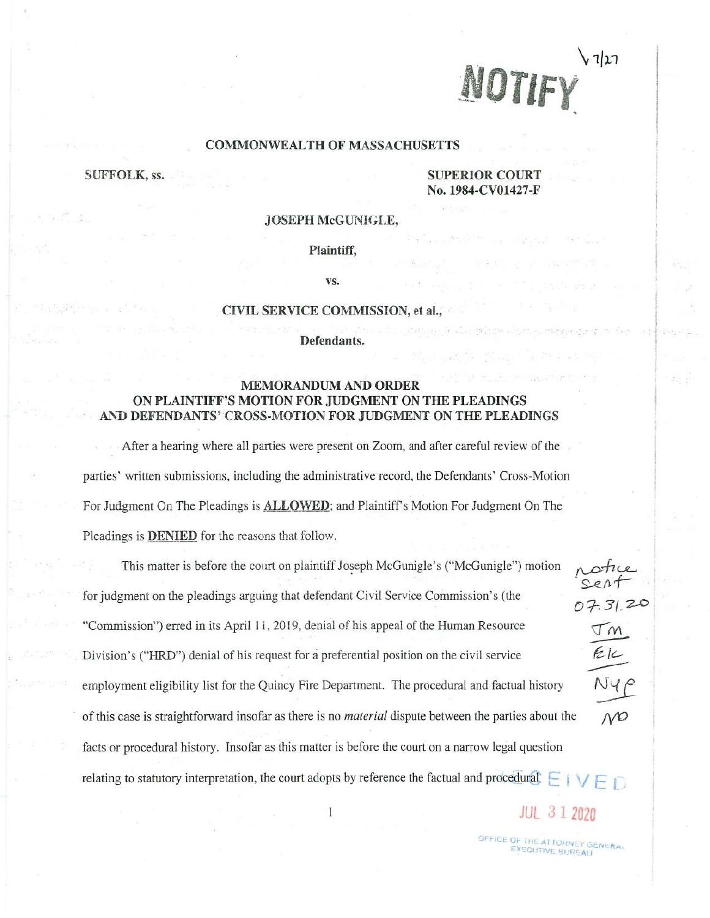

### **COMMONWEALTH OF MASSACHUSETTS**

# **SUFFOLK, ss. SUPERIOR COURT No. 1984-CV01427-F**

**JOSEPH McGUNIGLE,**

**Plaintiff,**

**vs.**

# **CIVIL SERVICE COMMISSION, et al.,**

#### **Defendants.**

# **MEMORANDUM AND ORDER ON PLAINTIFF'S MOTION FOR JUDGMENT ON THE PLEADINGS AND DEFENDANTS' CROSS-MOTION FOR JUDGMENT ON THE PLEADINGS**

After a hearing where all parties were present on Zoom, and after careful review of the parties' written submissions, including the administrative record, the Defendants' Cross-Motion For Judgment On The Pleadings is **ALLOWED;** and Plaintiff's Motion For Judgment On The Pleadings is **DENIED** for the reasons that follow.

This matter is before the court on plaintiff Joseph McGunigle's ("McGunigle") motion for judgment on the pleadings arguing that defendant Civil Service Commission's (the "Commission") erred in its April 11, 2019, denial of his appeal of the Human Resource Division's ("HRD") denial of his request for a preferential position on the civil service employment eligibility list for the Quincy Fire Department. The procedural and factual history  $M\left($ of this case is straightforward insofar as there is no *material* dispute between the parties about the  $\land\land\circ$ facts or procedural history. Insofar as this matter is before the court on a narrow legal question relating to statutory interpretation, the court adopts by reference the factual and procedural  $\frac{1}{2}$ 

 $E1C$ 

**OFFICE OF THE ATTORNEY GENERAL**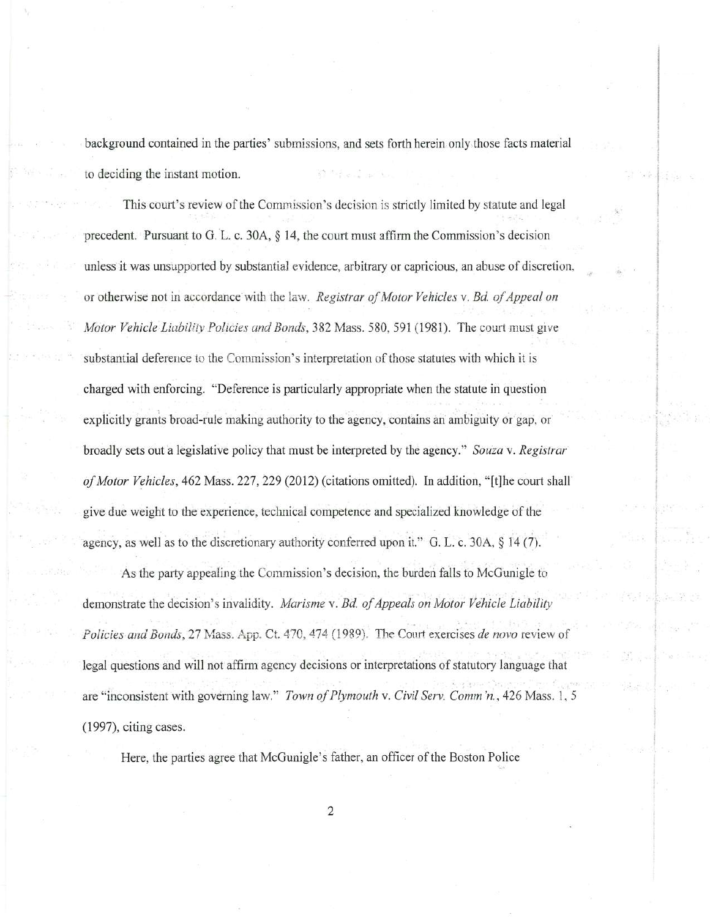background contained in the parties' submissions, and sets forth herein only those facts material to deciding the instant motion.

This court's review of the Commission's decision is strictly limited by statute and legal precedent. Pursuant to G. L. c. 30A,  $\S$  14, the court must affirm the Commission's decision unless it was unsupported by substantial evidence, arbitrary or capricious, an abuse of discretion, or otherwise not in accordance with the law. *Registrar ofMotor Vehicles* v. *Bd. ofAppeal on Motor Vehicle Liability Policies and Bonds,* 382 Mass. 580, 591 (1981). The court must give substantial deference to the Commission's interpretation of those statutes with which it is charged with enforcing. "Deference is particularly appropriate when the statute in question explicitly grants broad-rule making authority to the agency, contains an ambiguity or gap, or broadly sets out a legislative policy that must be interpreted by the agency." *Souza* v. *Registrar ofMotor Vehicles*, 462 Mass. 227, 229 (2012) (citations omitted). In addition, "[t]he court shall give due weight to the experience, technical competence and specialized knowledge ofthe agency, as well as to the discretionary authority conferred upon it." G. L. c. 30A, § 14 (7).

As the party appealing the Commission's decision, the burden falls to McGunigle to demonstrate the decision's invalidity. *Marisme* v. *Bd. ofAppeals on Motor Vehicle Liability Policies and Bonds,* 27 Mass. App, Ct. 470, 474 (1989). The Court exercises *de novo* review of legal questions and will not affirm agency decisions or interpretations of statutory language that are "inconsistent with governing law." *Town of Plymouth v. Civil Serv. Comm'n.*, 426 Mass. 1, 5 (1997), citing cases.

Here, the parties agree that McGunigle's father, an officer of the Boston Police

2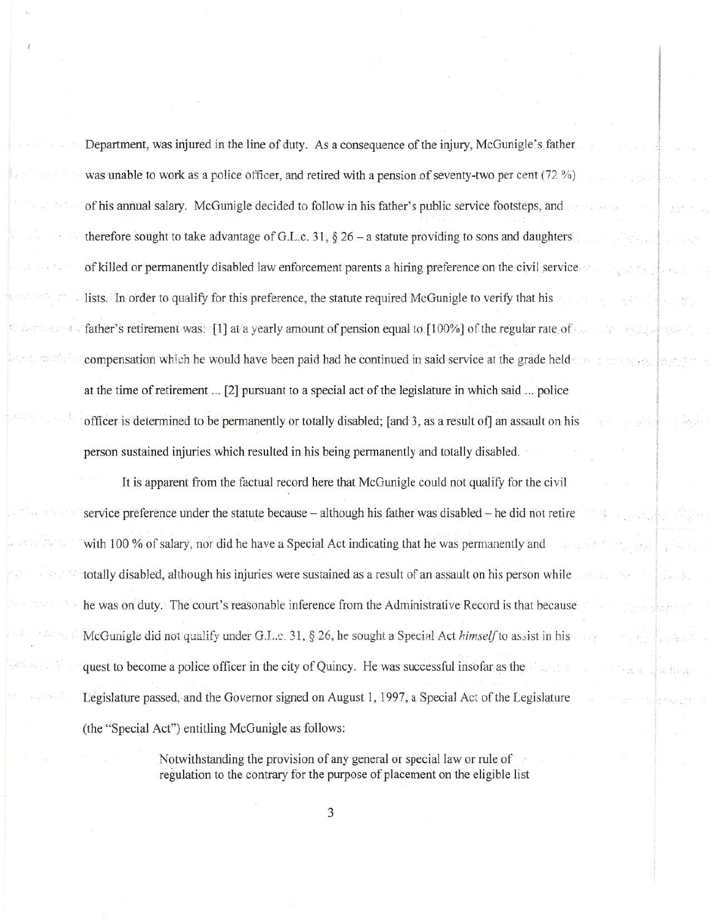Department, was injured in the line of duty. As a consequence of the injury, McGunigle's father was unable to work as a police officer, and retired with a pension of seventy-two per cent (72 $\%$ ) of his annual salary. McGunigle decided to follow in his father's public service footsteps, and therefore sought to take advantage of G.L.c. 31,  $\S 26 - a$  statute providing to sons and daughters of killed or permanently disabled law enforcement parents a hiring preference on the civil service lists. In order to qualify for this preference, the statute required McGunigle to verify that his father's retirement was: [1] at a yearly amount of pension equal to. [100%] of the regular rate of compensation which he would have been paid had he continued in said service at the grade held at the time of retirement ... [2] pursuant to a special act of the legislature in which said ... police officer is determined to be permanently or totally disabled; [and 3, as a result of] an assault on his person sustained injuries which resulted in his being permanently and totally disabled.

It is apparent from the factual record here that McGunigle could not qualify for the civil service preference under the statute because - although his father was disabled - he did not retire with 100 % of salary, nor did he have a Special Act indicating that he was permanently and totally disabled, although his injuries were sustained as a result of an assault on his person while he was on duty. The court's reasonable inference from the Administrative Record is that because McGunigle did not qualify under G.L.c. 31, § 26, he sought a Special Act *himselfto* assist in his quest to become a police officer in the city of Quincy. He was successful insofar as the Legislature passed, and the Governor signed on August 1, 1997, a Special Act ofthe Legislature (the "Special Act") entitling McGunigle as follows:

> Notwithstanding the provision of any general or special law or rule of regulation to the contrary for the purpose of placement on the eligible list

> > 3